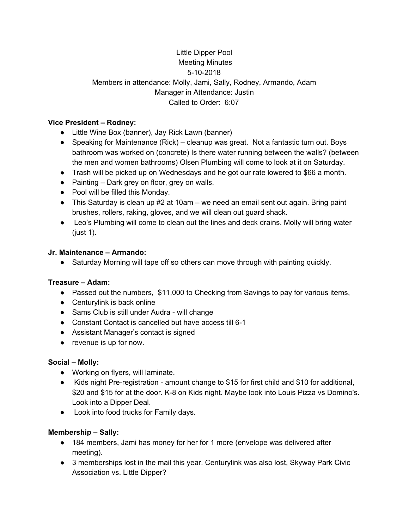# Little Dipper Pool Meeting Minutes 5-10-2018 Members in attendance: Molly, Jami, Sally, Rodney, Armando, Adam Manager in Attendance: Justin Called to Order: 6:07

### **Vice President – Rodney:**

- Little Wine Box (banner), Jay Rick Lawn (banner)
- Speaking for Maintenance (Rick) cleanup was great. Not a fantastic turn out. Boys bathroom was worked on (concrete) Is there water running between the walls? (between the men and women bathrooms) Olsen Plumbing will come to look at it on Saturday.
- Trash will be picked up on Wednesdays and he got our rate lowered to \$66 a month.
- Painting Dark grey on floor, grey on walls.
- Pool will be filled this Monday.
- $\bullet$  This Saturday is clean up #2 at 10am we need an email sent out again. Bring paint brushes, rollers, raking, gloves, and we will clean out guard shack.
- Leo's Plumbing will come to clean out the lines and deck drains. Molly will bring water (just 1).

### **Jr. Maintenance – Armando:**

• Saturday Morning will tape off so others can move through with painting quickly.

# **Treasure – Adam:**

- Passed out the numbers, \$11,000 to Checking from Savings to pay for various items,
- Centurylink is back online
- Sams Club is still under Audra will change
- Constant Contact is cancelled but have access till 6-1
- Assistant Manager's contact is signed
- revenue is up for now.

# **Social – Molly:**

- Working on flyers, will laminate.
- Kids night Pre-registration amount change to \$15 for first child and \$10 for additional, \$20 and \$15 for at the door. K-8 on Kids night. Maybe look into Louis Pizza vs Domino's. Look into a Dipper Deal.
- Look into food trucks for Family days.

# **Membership – Sally:**

- 184 members, Jami has money for her for 1 more (envelope was delivered after meeting).
- 3 memberships lost in the mail this year. Centurylink was also lost, Skyway Park Civic Association vs. Little Dipper?